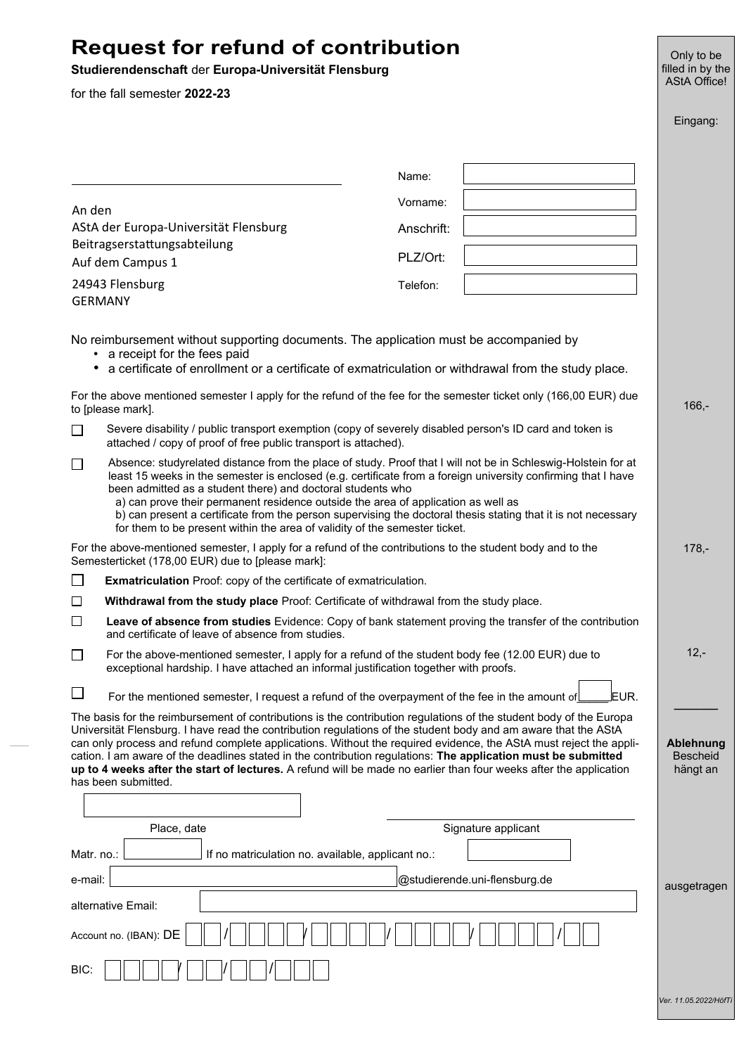# **Request for refund of contribution**

## **Studierendenschaft** der **Europa-Universität Flensburg**

for the fall semester **2022-23**

|                                                                                                                                                                                                                                                                                                                                                                                                                                                                                                                                                                                                                        |                                                                                                                                                                                                                                                                                                                                                                                                                                                                                                                                                                                   |                                                                                                       | Eingang:                                        |
|------------------------------------------------------------------------------------------------------------------------------------------------------------------------------------------------------------------------------------------------------------------------------------------------------------------------------------------------------------------------------------------------------------------------------------------------------------------------------------------------------------------------------------------------------------------------------------------------------------------------|-----------------------------------------------------------------------------------------------------------------------------------------------------------------------------------------------------------------------------------------------------------------------------------------------------------------------------------------------------------------------------------------------------------------------------------------------------------------------------------------------------------------------------------------------------------------------------------|-------------------------------------------------------------------------------------------------------|-------------------------------------------------|
|                                                                                                                                                                                                                                                                                                                                                                                                                                                                                                                                                                                                                        |                                                                                                                                                                                                                                                                                                                                                                                                                                                                                                                                                                                   | Name:                                                                                                 |                                                 |
|                                                                                                                                                                                                                                                                                                                                                                                                                                                                                                                                                                                                                        |                                                                                                                                                                                                                                                                                                                                                                                                                                                                                                                                                                                   | Vorname:                                                                                              |                                                 |
| An den                                                                                                                                                                                                                                                                                                                                                                                                                                                                                                                                                                                                                 | AStA der Europa-Universität Flensburg                                                                                                                                                                                                                                                                                                                                                                                                                                                                                                                                             | Anschrift:                                                                                            |                                                 |
| Beitragserstattungsabteilung                                                                                                                                                                                                                                                                                                                                                                                                                                                                                                                                                                                           |                                                                                                                                                                                                                                                                                                                                                                                                                                                                                                                                                                                   |                                                                                                       |                                                 |
|                                                                                                                                                                                                                                                                                                                                                                                                                                                                                                                                                                                                                        | Auf dem Campus 1                                                                                                                                                                                                                                                                                                                                                                                                                                                                                                                                                                  | PLZ/Ort:                                                                                              |                                                 |
| 24943 Flensburg<br><b>GERMANY</b>                                                                                                                                                                                                                                                                                                                                                                                                                                                                                                                                                                                      |                                                                                                                                                                                                                                                                                                                                                                                                                                                                                                                                                                                   | Telefon:                                                                                              |                                                 |
| No reimbursement without supporting documents. The application must be accompanied by<br>a receipt for the fees paid<br>٠<br>a certificate of enrollment or a certificate of exmatriculation or withdrawal from the study place.                                                                                                                                                                                                                                                                                                                                                                                       |                                                                                                                                                                                                                                                                                                                                                                                                                                                                                                                                                                                   |                                                                                                       |                                                 |
| For the above mentioned semester I apply for the refund of the fee for the semester ticket only (166,00 EUR) due<br>to [please mark].                                                                                                                                                                                                                                                                                                                                                                                                                                                                                  |                                                                                                                                                                                                                                                                                                                                                                                                                                                                                                                                                                                   |                                                                                                       | $166, -$                                        |
| П                                                                                                                                                                                                                                                                                                                                                                                                                                                                                                                                                                                                                      | Severe disability / public transport exemption (copy of severely disabled person's ID card and token is<br>attached / copy of proof of free public transport is attached).                                                                                                                                                                                                                                                                                                                                                                                                        |                                                                                                       |                                                 |
| ΙI                                                                                                                                                                                                                                                                                                                                                                                                                                                                                                                                                                                                                     | Absence: studyrelated distance from the place of study. Proof that I will not be in Schleswig-Holstein for at<br>least 15 weeks in the semester is enclosed (e.g. certificate from a foreign university confirming that I have<br>been admitted as a student there) and doctoral students who<br>a) can prove their permanent residence outside the area of application as well as<br>b) can present a certificate from the person supervising the doctoral thesis stating that it is not necessary<br>for them to be present within the area of validity of the semester ticket. |                                                                                                       |                                                 |
| For the above-mentioned semester, I apply for a refund of the contributions to the student body and to the<br>Semesterticket (178,00 EUR) due to [please mark]:                                                                                                                                                                                                                                                                                                                                                                                                                                                        |                                                                                                                                                                                                                                                                                                                                                                                                                                                                                                                                                                                   |                                                                                                       | $178, -$                                        |
| $\Box$                                                                                                                                                                                                                                                                                                                                                                                                                                                                                                                                                                                                                 | <b>Exmatriculation</b> Proof: copy of the certificate of exmatriculation.                                                                                                                                                                                                                                                                                                                                                                                                                                                                                                         |                                                                                                       |                                                 |
| $\Box$                                                                                                                                                                                                                                                                                                                                                                                                                                                                                                                                                                                                                 | Withdrawal from the study place Proof: Certificate of withdrawal from the study place.                                                                                                                                                                                                                                                                                                                                                                                                                                                                                            |                                                                                                       |                                                 |
| ப                                                                                                                                                                                                                                                                                                                                                                                                                                                                                                                                                                                                                      | Leave of absence from studies Evidence: Copy of bank statement proving the transfer of the contribution<br>and certificate of leave of absence from studies.                                                                                                                                                                                                                                                                                                                                                                                                                      |                                                                                                       |                                                 |
| l 1                                                                                                                                                                                                                                                                                                                                                                                                                                                                                                                                                                                                                    | For the above-mentioned semester, I apply for a refund of the student body fee (12.00 EUR) due to<br>exceptional hardship. I have attached an informal justification together with proofs.                                                                                                                                                                                                                                                                                                                                                                                        |                                                                                                       |                                                 |
| ப                                                                                                                                                                                                                                                                                                                                                                                                                                                                                                                                                                                                                      |                                                                                                                                                                                                                                                                                                                                                                                                                                                                                                                                                                                   | EUR.<br>For the mentioned semester, I request a refund of the overpayment of the fee in the amount of |                                                 |
| The basis for the reimbursement of contributions is the contribution regulations of the student body of the Europa<br>Universität Flensburg. I have read the contribution regulations of the student body and am aware that the AStA<br>can only process and refund complete applications. Without the required evidence, the AStA must reject the appli-<br>cation. I am aware of the deadlines stated in the contribution regulations: The application must be submitted<br>up to 4 weeks after the start of lectures. A refund will be made no earlier than four weeks after the application<br>has been submitted. |                                                                                                                                                                                                                                                                                                                                                                                                                                                                                                                                                                                   |                                                                                                       | <b>Ablehnung</b><br><b>Bescheid</b><br>hängt an |
|                                                                                                                                                                                                                                                                                                                                                                                                                                                                                                                                                                                                                        |                                                                                                                                                                                                                                                                                                                                                                                                                                                                                                                                                                                   |                                                                                                       |                                                 |
|                                                                                                                                                                                                                                                                                                                                                                                                                                                                                                                                                                                                                        | Place, date                                                                                                                                                                                                                                                                                                                                                                                                                                                                                                                                                                       | Signature applicant                                                                                   |                                                 |
| Matr. no.:                                                                                                                                                                                                                                                                                                                                                                                                                                                                                                                                                                                                             | If no matriculation no. available, applicant no.:                                                                                                                                                                                                                                                                                                                                                                                                                                                                                                                                 |                                                                                                       |                                                 |
| @studierende.uni-flensburg.de<br>e-mail:                                                                                                                                                                                                                                                                                                                                                                                                                                                                                                                                                                               |                                                                                                                                                                                                                                                                                                                                                                                                                                                                                                                                                                                   |                                                                                                       | ausgetragen                                     |
| alternative Email:                                                                                                                                                                                                                                                                                                                                                                                                                                                                                                                                                                                                     |                                                                                                                                                                                                                                                                                                                                                                                                                                                                                                                                                                                   |                                                                                                       |                                                 |
| Account no. (IBAN): DE                                                                                                                                                                                                                                                                                                                                                                                                                                                                                                                                                                                                 |                                                                                                                                                                                                                                                                                                                                                                                                                                                                                                                                                                                   |                                                                                                       |                                                 |
| BIC:                                                                                                                                                                                                                                                                                                                                                                                                                                                                                                                                                                                                                   |                                                                                                                                                                                                                                                                                                                                                                                                                                                                                                                                                                                   |                                                                                                       |                                                 |
|                                                                                                                                                                                                                                                                                                                                                                                                                                                                                                                                                                                                                        |                                                                                                                                                                                                                                                                                                                                                                                                                                                                                                                                                                                   |                                                                                                       | Ver. 11.05.2022/HöfTi                           |

Only to be filled in by the AStA Office!